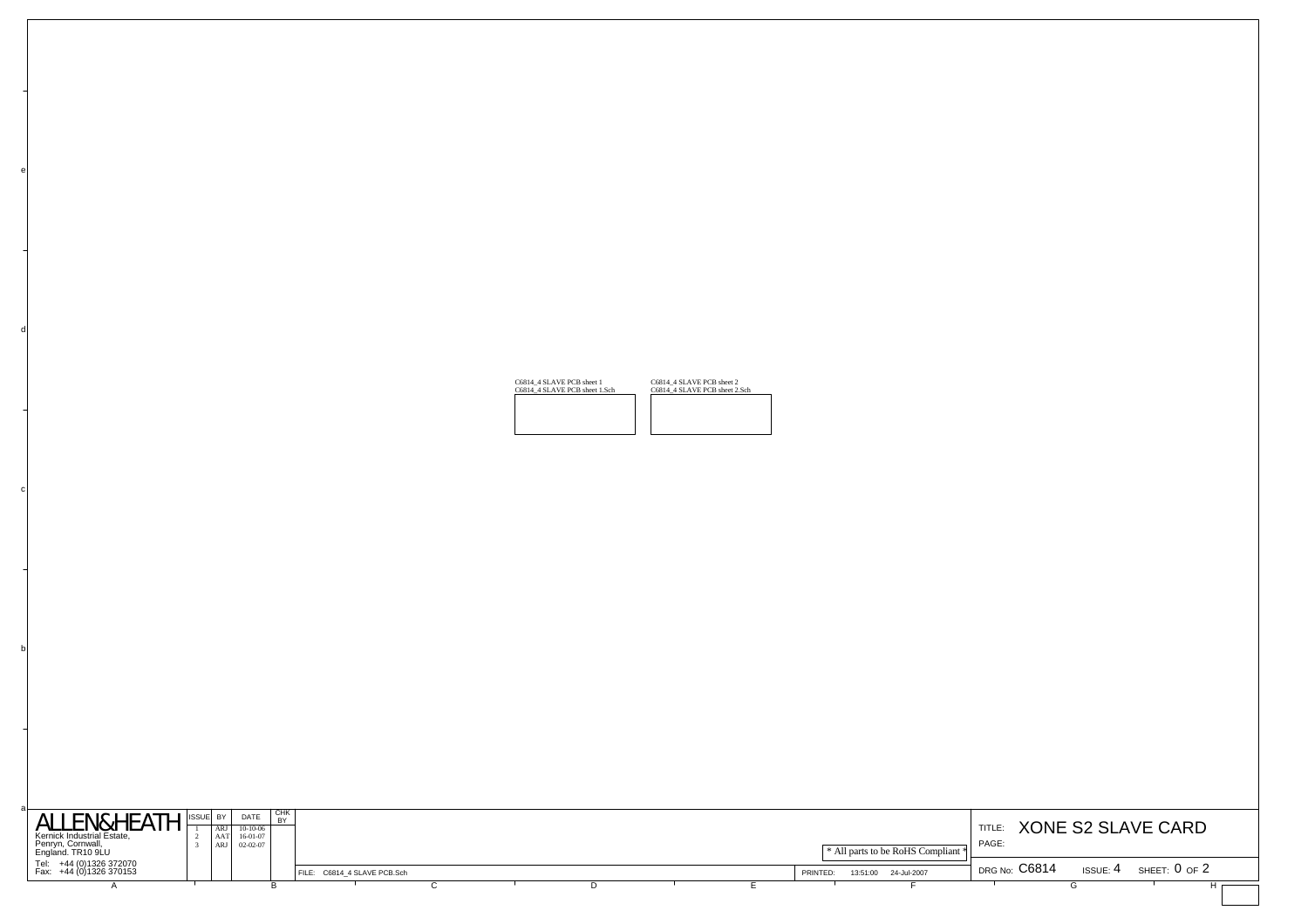| <b>ALLEN&amp;HEATH</b><br>Kernick Industrial Estate,<br>Penryn, Cornwall,<br>England. TR10 9LU | ISSUE BY<br>ARJ  <br>AAT<br>ARJ | DATE<br>$10-10-06$<br>16-01-07<br>$02 - 02 - 07$ | CHK<br>D <sub>V</sub> |                             |  |  |                      | * All parts to be RoHS Compliant * | TITLE:<br>PAGE: |          | XONE S2 SLAVE CARD |
|------------------------------------------------------------------------------------------------|---------------------------------|--------------------------------------------------|-----------------------|-----------------------------|--|--|----------------------|------------------------------------|-----------------|----------|--------------------|
| Tel: +44 (0)1326 372070<br>Fax: +44 (0)1326 370153                                             |                                 |                                                  |                       | FILE: C6814 4 SLAVE PCB.Sch |  |  | 13:51:00<br>PRINTED: | 24-Jul-2007                        | DRG No: C6814   | ISSUE: 4 | SHEET: $0$ of $2$  |
|                                                                                                |                                 |                                                  |                       |                             |  |  |                      |                                    |                 |          |                    |

| C6814 4 SLAVE PCB sheet 1     | C6814 4 SLAVE PCB sheet 2     |
|-------------------------------|-------------------------------|
| C6814 4 SLAVE PCB sheet 1.Sch | C6814 4 SLAVE PCB sheet 2.Sch |
|                               |                               |

b

c

d

e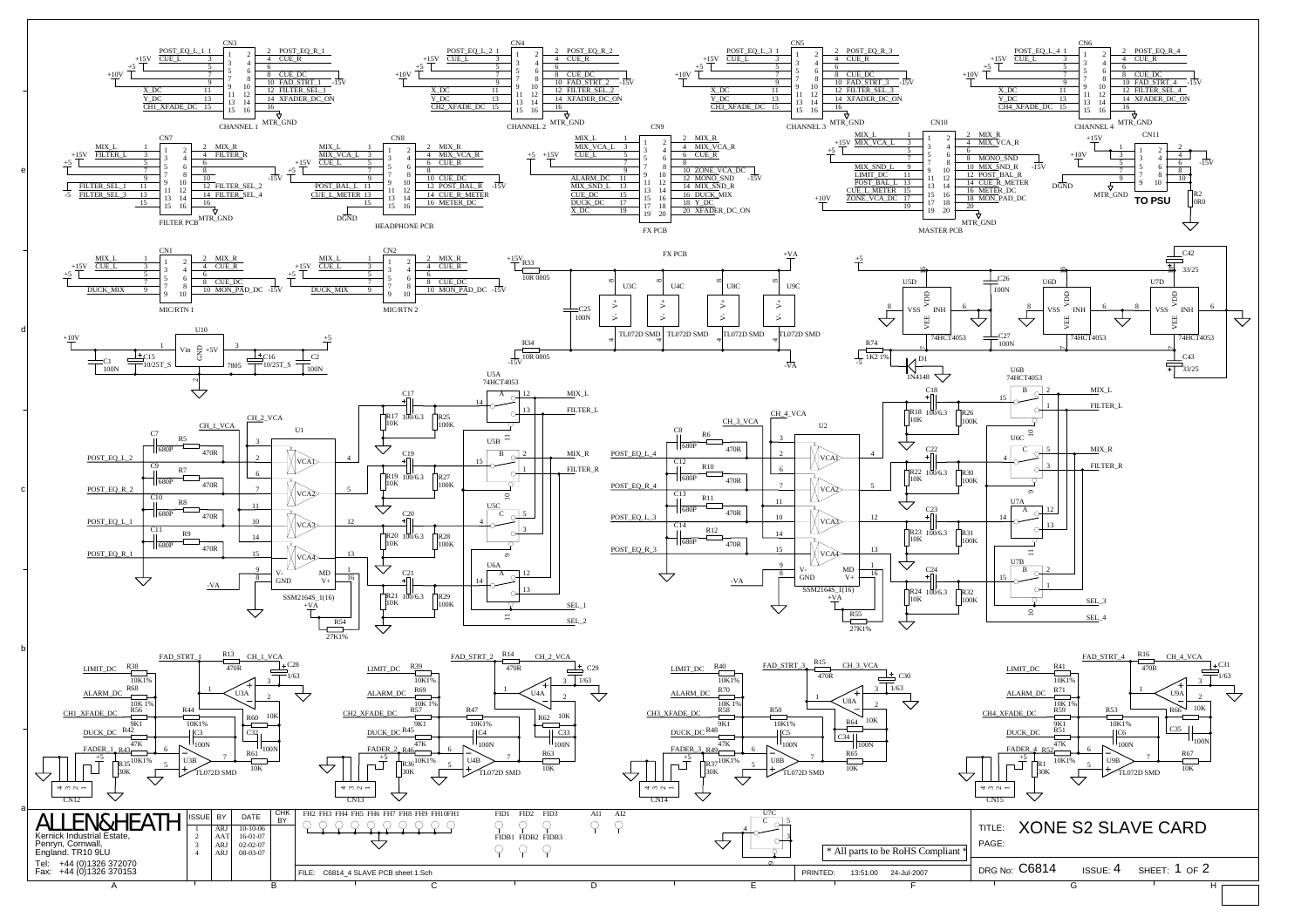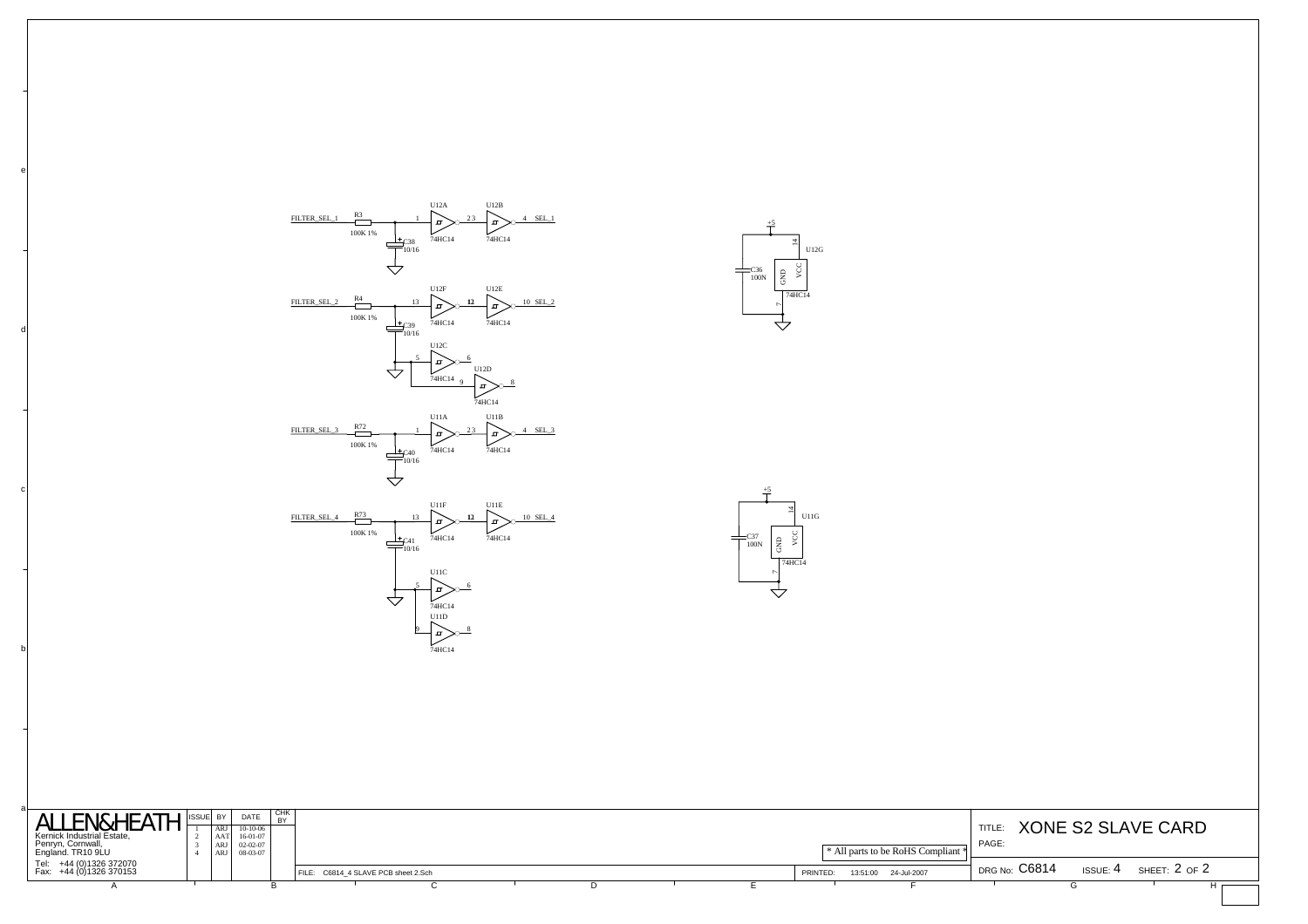